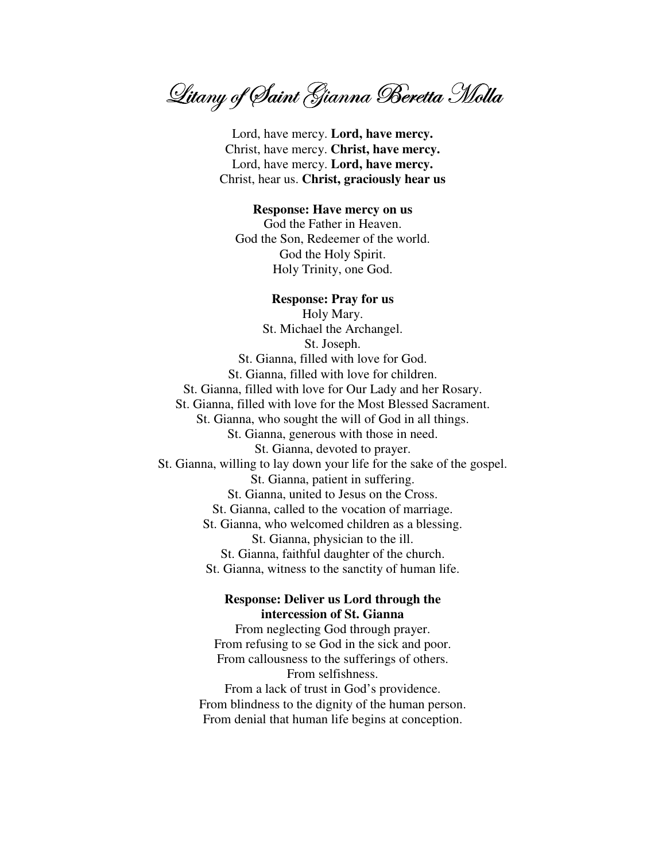Litany of Saint Gianna Beretta Molla

Lord, have mercy. Lord, have mercy. Christ, have mercy. Christ, have mercy. Lord, have mercy. Lord, have mercy. Christ, hear us. Christ, graciously hear us

## **Response: Have mercy on us**

God the Father in Heaven. God the Son, Redeemer of the world. God the Holy Spirit. Holy Trinity, one God.

## **Response: Pray for us**

Holy Mary. St. Michael the Archangel. St. Joseph. St. Gianna, filled with love for God. St. Gianna, filled with love for children. St. Gianna, filled with love for Our Lady and her Rosary. St. Gianna, filled with love for the Most Blessed Sacrament. St. Gianna, who sought the will of God in all things. St. Gianna, generous with those in need. St. Gianna, devoted to prayer. St. Gianna, willing to lay down your life for the sake of the gospel. St. Gianna, patient in suffering. St. Gianna, united to Jesus on the Cross. St. Gianna, called to the vocation of marriage. St. Gianna, who welcomed children as a blessing. St. Gianna, physician to the ill. St. Gianna, faithful daughter of the church. St. Gianna, witness to the sanctity of human life.

## **Response: Deliver us Lord through the** intercession of St. Gianna

From neglecting God through prayer. From refusing to se God in the sick and poor. From callousness to the sufferings of others. From selfishness.

From a lack of trust in God's providence. From blindness to the dignity of the human person. From denial that human life begins at conception.